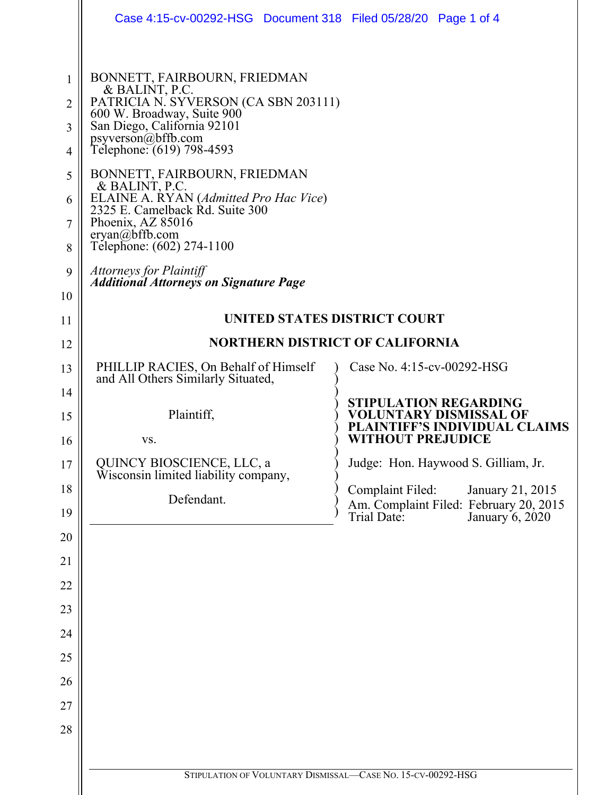|                                                                                | Case 4:15-cv-00292-HSG  Document 318  Filed 05/28/20  Page 1 of 4                                                                                                                                                                                                                                                                                                                                                                                                              |                                                                                       |
|--------------------------------------------------------------------------------|--------------------------------------------------------------------------------------------------------------------------------------------------------------------------------------------------------------------------------------------------------------------------------------------------------------------------------------------------------------------------------------------------------------------------------------------------------------------------------|---------------------------------------------------------------------------------------|
| 1<br>$\overline{2}$<br>3<br>$\overline{4}$<br>5<br>6<br>$\tau$<br>8<br>9<br>10 | BONNETT, FAIRBOURN, FRIEDMAN<br>& BALINT, P.C.<br>PATRICIA N. SYVERSON (CA SBN 203111)<br>600 W. Broadway, Suite 900<br>San Diego, California 92101<br>psyverson@bffb.com<br>Telephone: (619) 798-4593<br>BONNETT, FAIRBOURN, FRIEDMAN<br>& BALINT, P.C.<br>ELAINE A. ŔYAN (Admitted Pro Hac Vice)<br>2325 E. Camelback Rd. Suite 300<br>Phoenix, AZ 85016<br>eryan@bffb.com<br>Telephone: (602) 274-1100<br>Attorneys for Plaintiff<br>Additional Attorneys on Signature Page |                                                                                       |
| 11                                                                             | UNITED STATES DISTRICT COURT                                                                                                                                                                                                                                                                                                                                                                                                                                                   |                                                                                       |
| 12                                                                             | <b>NORTHERN DISTRICT OF CALIFORNIA</b>                                                                                                                                                                                                                                                                                                                                                                                                                                         |                                                                                       |
| 13                                                                             | PHILLIP RACIES, On Behalf of Himself<br>and All Others Similarly Situated,                                                                                                                                                                                                                                                                                                                                                                                                     | Case No. 4:15-cv-00292-HSG                                                            |
| 14                                                                             |                                                                                                                                                                                                                                                                                                                                                                                                                                                                                | <b>STIPULATION REGARDING</b>                                                          |
| 15                                                                             | Plaintiff,                                                                                                                                                                                                                                                                                                                                                                                                                                                                     | VOLUNTARY DISMISSAL OF<br>PLAINTIFF'S INDIVIDUAL CLAIMS                               |
| 16                                                                             | VS.                                                                                                                                                                                                                                                                                                                                                                                                                                                                            | <b>WITHOUT PREJUDICE</b>                                                              |
| 17                                                                             | QUINCY BIOSCIENCE, LLC, a<br>Wisconsin limited liability company,                                                                                                                                                                                                                                                                                                                                                                                                              | Judge: Hon. Haywood S. Gilliam, Jr.                                                   |
| 18<br>19                                                                       | Defendant.                                                                                                                                                                                                                                                                                                                                                                                                                                                                     | <b>Complaint Filed:</b><br>January 21, 2015<br>Am. Complaint Filed: February 20, 2015 |
| 20                                                                             |                                                                                                                                                                                                                                                                                                                                                                                                                                                                                | Trial Date:<br>January 6, 2020                                                        |
| 21                                                                             |                                                                                                                                                                                                                                                                                                                                                                                                                                                                                |                                                                                       |
| 22                                                                             |                                                                                                                                                                                                                                                                                                                                                                                                                                                                                |                                                                                       |
| 23                                                                             |                                                                                                                                                                                                                                                                                                                                                                                                                                                                                |                                                                                       |
| 24                                                                             |                                                                                                                                                                                                                                                                                                                                                                                                                                                                                |                                                                                       |
| 25                                                                             |                                                                                                                                                                                                                                                                                                                                                                                                                                                                                |                                                                                       |
| 26                                                                             |                                                                                                                                                                                                                                                                                                                                                                                                                                                                                |                                                                                       |
| 27                                                                             |                                                                                                                                                                                                                                                                                                                                                                                                                                                                                |                                                                                       |
| 28                                                                             |                                                                                                                                                                                                                                                                                                                                                                                                                                                                                |                                                                                       |
|                                                                                | STIPULATION OF VOLUNTARY DISMISSAL-CASE NO. 15-CV-00292-HSG                                                                                                                                                                                                                                                                                                                                                                                                                    |                                                                                       |
|                                                                                |                                                                                                                                                                                                                                                                                                                                                                                                                                                                                |                                                                                       |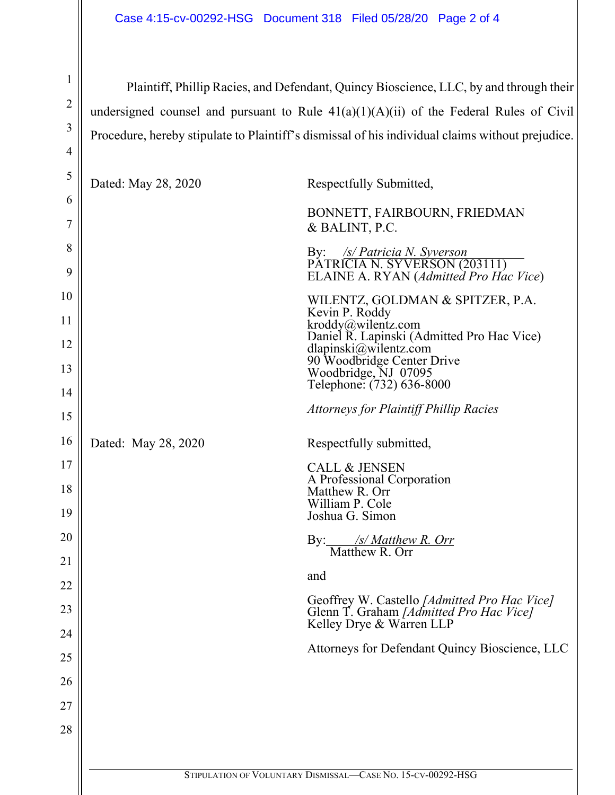1 2 3 4 5 6 7 8 9 10 11 12 13 14 15 16 17 18 19 20 21 Plaintiff, Phillip Racies, and Defendant, Quincy Bioscience, LLC, by and through their undersigned counsel and pursuant to Rule  $41(a)(1)(A)(ii)$  of the Federal Rules of Civil Procedure, hereby stipulate to Plaintiff's dismissal of his individual claims without prejudice. Dated: May 28, 2020 Respectfully Submitted, BONNETT, FAIRBOURN, FRIEDMAN & BALINT, P.C. By: */s/ Patricia N. Syverson* PATRICIA N. SYVERSON (203111) ELAINE A. RYAN (*Admitted Pro Hac Vice*) WILENTZ, GOLDMAN & SPITZER, P.A. Kevin P. Roddy kroddy@wilentz.com Daniel R. Lapinski (Admitted Pro Hac Vice) dlapinski@wilentz.com 90 Woodbridge Center Drive Woodbridge, NJ 07095 Telephone: (732) 636-8000 *Attorneys for Plaintiff Phillip Racies*  Dated: May 28, 2020 Respectfully submitted, CALL & JENSEN A Professional Corporation Matthew R. Orr William P. Cole Joshua G. Simon By: */s/ Matthew R. Orr*  Matthew R. Orr

and

22

23

24

25

26

27

28

Geoffrey W. Castello *[Admitted Pro Hac Vice]*  Glenn T. Graham *[Admitted Pro Hac Vice]* Kelley Drye & Warren LLP

Attorneys for Defendant Quincy Bioscience, LLC

STIPULATION OF VOLUNTARY DISMISSAL—CASE NO. 15-CV-00292-HSG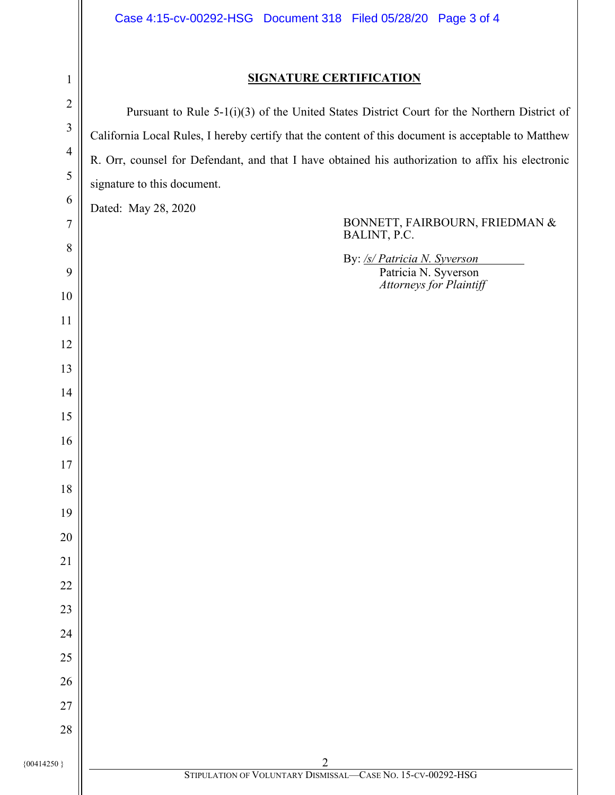## **SIGNATURE CERTIFICATION**

  $\{0.0414250\}$  2 STIPULATION OF VOLUNTARY DISMISSAL—CASE NO. 15-CV-00292-HSG Pursuant to Rule 5-1(i)(3) of the United States District Court for the Northern District of California Local Rules, I hereby certify that the content of this document is acceptable to Matthew R. Orr, counsel for Defendant, and that I have obtained his authorization to affix his electronic signature to this document. Dated: May 28, 2020 BONNETT, FAIRBOURN, FRIEDMAN & BALINT, P.C. By: */s/ Patricia N. Syverson*  Patricia N. Syverson *Attorneys for Plaintiff*